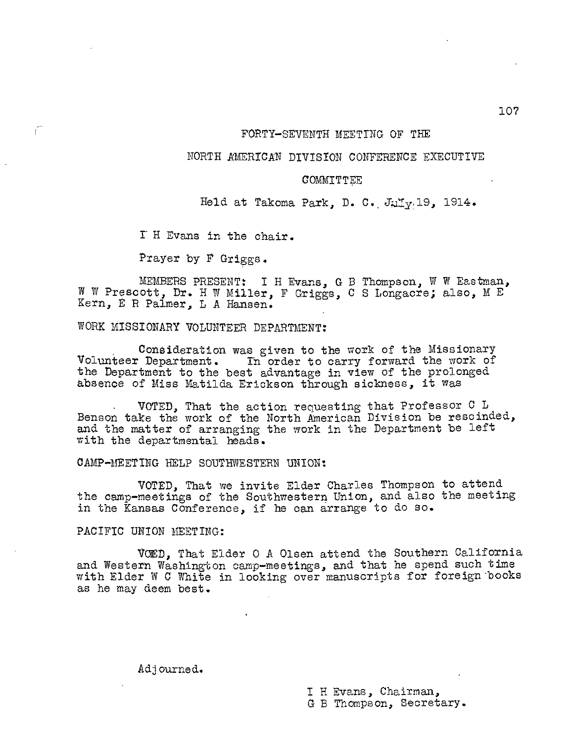#### FORTY-SEVENTH MEETING OF THE

### NORTH AMERICAN DIVISION CONFERENCE EXECUTIVE

### COMMITTEE

Held at Takoma Park, D. C. July 19, 1914.

I H Evans in the chair.

Prayer by F Griggs.

MEMBERS PRESENT: I H Evans, G B Thompson, W W Eastman, W W Prescott, Dr. H W Miller, F Griggs, C S Longacre; also, M E Kern, E R Palmer, L A Hansen.

WORK MISSIONARY VOLUNTEER DEPARTMENT:

Consideration was given to the work of the Missionary Volunteer Department. In order to carry forward the work of the Department to the best advantage in view of the prolonged absence of Miss Matilda Erickson through sickness, it was

VOTED, That the action requesting that Professor C L Benson take the work of the North American Division be rescinded, and the matter of arranging the work in the Department be left with the departmental heads.

CAMP-MEETING HELP SOUTHWESTERN UNION:

VOTED, That we invite Elder Charles Thompson to attend the camp-meetings of the Southwestern Union, and also the meeting in the Kansas Conference, if he can arrange to do so.

PACIFIC UNION MEETING:

VOED, That Elder 0 A Olsen attend the Southern California and Western Washington camp-meetings, and that he spend such time with Elder W C White in looking over manuscripts for foreign'books as he may deem best.

Adjourned.

I H Evans, Chairman, G B Thompson, Secretary. 107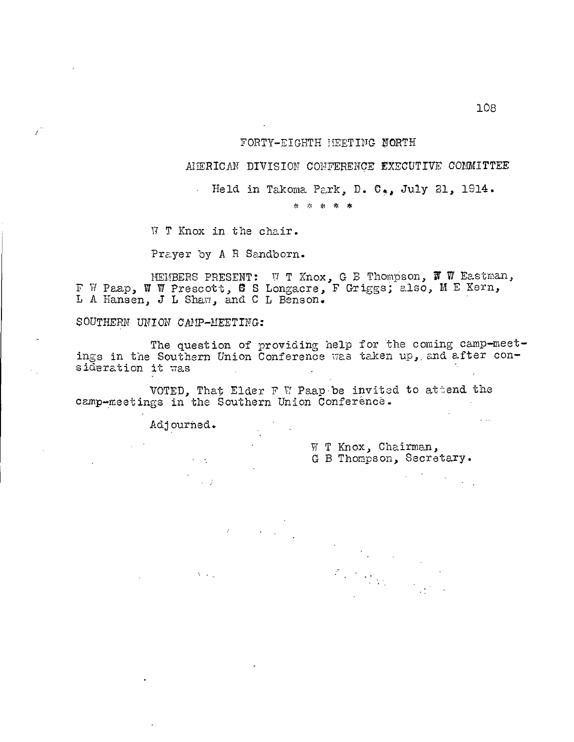### FORTY-EIGHTH MEETING NORTH

AFRICAN DIVISION CONFERENCE EXECUTIVE COMMITTEE

Held in Takoma Park, D. C., July 21, 1914.

\* \* \* \* \*

W T Knox in the chair.

 $\mathcal{L}$ 

Prayer by A R Sandborn.

MEMBERS PRESENT: W T Knox, G B ThomPson, W W Eastman, F W Paap, W W Prescott, 0 S Longacre, F Griggs; also, M E Kern, L A Hansen, J L Shaw, and C L Benson.

SOUTHERN UNION CAMP-MEETING:

The question of providing help for the coming camp-meetings in the Southern Union Conference was taken up,, and after consideration it was

VOTED, That Elder F W Paap-be invited to attend the camp-meetings in the Southern Union Conference.

Adjourned.

 $\sim$   $\sim$   $2$ 

 $\mathcal{O}(\log n)$ 

W T Knox, Chairman, G B Thompson, Secretary.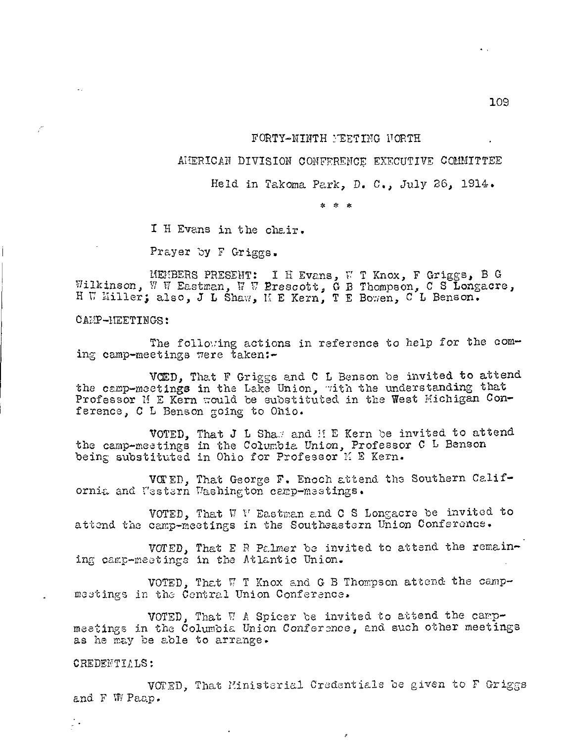### FORTY-NINTH YEETING NORTH

### AMERICAN DIVISION CONFERENCE EXECUTIVE COMMITTEE

Held in Takoma Park, D. C., July 26, 1914.

\* \* \*

I H Evans in the chair.

Prayer by F Griggs.

MEMBERS PRESENT:<br>Wilkinson, W W Eastman, N W B  $H$  W Miller; also, J L Shaw, I I H Evans, W T Knox, F Griggs, B G Prescott, G B Thompson, C S Longacre, M E Kern, T E Bowen, C L Benson.

CAMP-MEETINGS:

The following actions in reference to help for the coming camp-meetings were taken:-

VCED, That F Griggs and C L Benson be invited to attend the camp-meetings in the Lake Union, with the understanding that Professor M E Kern would be substituted in the West Michigan Conference, C L Benson going to Ohio.

VOTED, That J L Shas and H E Kern be invited to attend the camp-meetings in the Columbia Union, Professor C L Benson being substituted in Ohio for Professor H E Kern.

VOTED, That George F. Enoch attend the Southern California and Vestern Washington camp-meetings.

VOTED, That W V Eastman and C S Longacre be invited to attend the camp-meetings in the Southeastern Union Conference.

VOTED, That E R Palmer be invited to attend the remaining camp-meetings in the Atlantic Union.

VOTED, That  $\Pi$  T Knox and G B Thompson attend the campmeetings in the Central Union Conference.

VOTED, That  $\Pi$  A Spicer be invited to attend the campmeetings in the Columbia Union Conference, and such other meetings as he may be able to arrange.

### CREDENTILLS:

Д¥,

VOTED, That Ministerial Credentials be given to F Griggs and F WVPaap.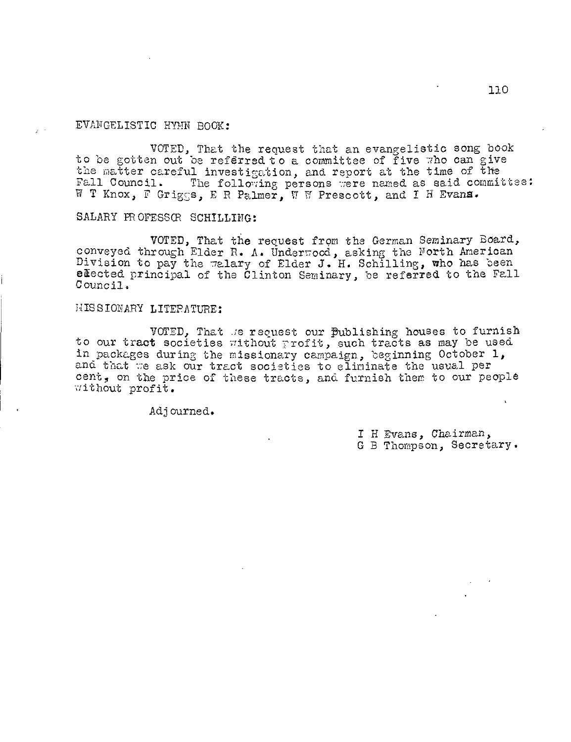# EVANGELISTIC HYMN BOOK:

VOTED, That the request that an evangelistic song book to be gotten out be referred to a committee of five who can give the matter careful investigation, and report at the time of the Fall Council. The following persons were named as said commit The following persons were named as said committee: W T Knox, F Griggs, E R Palmer, W W Prescott, and I H Evans.

# SALARY PROFESSOR SCHILLING:

VOTED, That the request from the German Seminary Board, conveyed through Elder R. A. Under7ood, asking the Forth American  $\text{Division to pay the } \pi$  alary of Elder J. H. Schilling, who has been elected principal of the Clinton Seminary, be referred to the Fall Council.

## MISSIONARY LITERATURE:

VOTED, That we request our Publishing houses to furnish to our tract societies without profit, such tracts as may be used in packages during the missionary campaign, beginning October 1, and that we ask our tract societies to eliminate the usual per cent, on the price of these tracts, and furnish them to our people without profit.

Adjourned.

I H Evans, Chairman, G B Thompson, Secretary.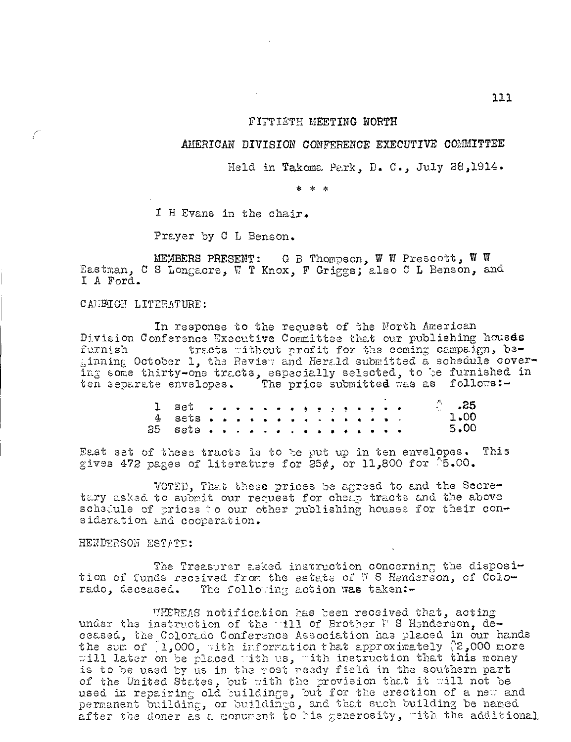### FIFTIETH MEETING NORTH

### AMERICAN DIVISION CONFERENCE EXECUTIVE COMMITTEE

Held in Takoma Park, D. C., July 28,1914.

\* \* \*

I H Evans in the chair.

Prayer by C L Benson.

MEMBERS PRESENT: G B Thompson,  $W$  W Prescott,  $W$  W Eastman, C S Longacre, W T Knox, F Griggs; also C L Benson, and I A Ford.

CAMELGE LITERATURE:

C

In response to the request of the North American Division Conference Executive Committee that our publishing housds furnish tracts without profit for the coming campaign, be- $_{5}$ inning October 1, the Review and Herald submitted a schedule covering some thirty-one tracts, especially selected, to be furnished in ten separate envelopes. The price submitted was as follows:-

|          |  |  |  |  |  |  |  | $\therefore$ .25 |
|----------|--|--|--|--|--|--|--|------------------|
| $4.8808$ |  |  |  |  |  |  |  | $1 - 00$         |
| 25 sets  |  |  |  |  |  |  |  | $5 - 00$         |

East set of these tracts is to be put up in ten envelopes. This gives 472 pages of literature for 25 $\phi$ , or 11,800 for P5.00.

VOTED, That these prices be agreed to and the Scoretary asked to submit our request for cheap tracts and the above schaCule of prices to our other publishing houses for their consideration and cooperation.

# HENDERSON ESTATE:

The Treasurer asked instruction concerning the disposition of funds received from the estate of 7 S Henderson, of Colorado, deceased. The following action was taken :-

WHEREAS notification has been received that, acting under the instruction of the -111 of Brother W S Henderson, deceased, the Colorado Conference Association has placed in our hands the sum of  $[1,000,$  with information that approximately  $\{2,000 \text{ more}\}$ will later on be placed with us, with instruction that this money is to be used by us in the most needy field in the southern part of the United States, but with the provision that it will not be used in repairing old buildings, but for the erection of a new and permanent building, or buildings, and that such building be named after the doner as a monument to his generosity, with the additional